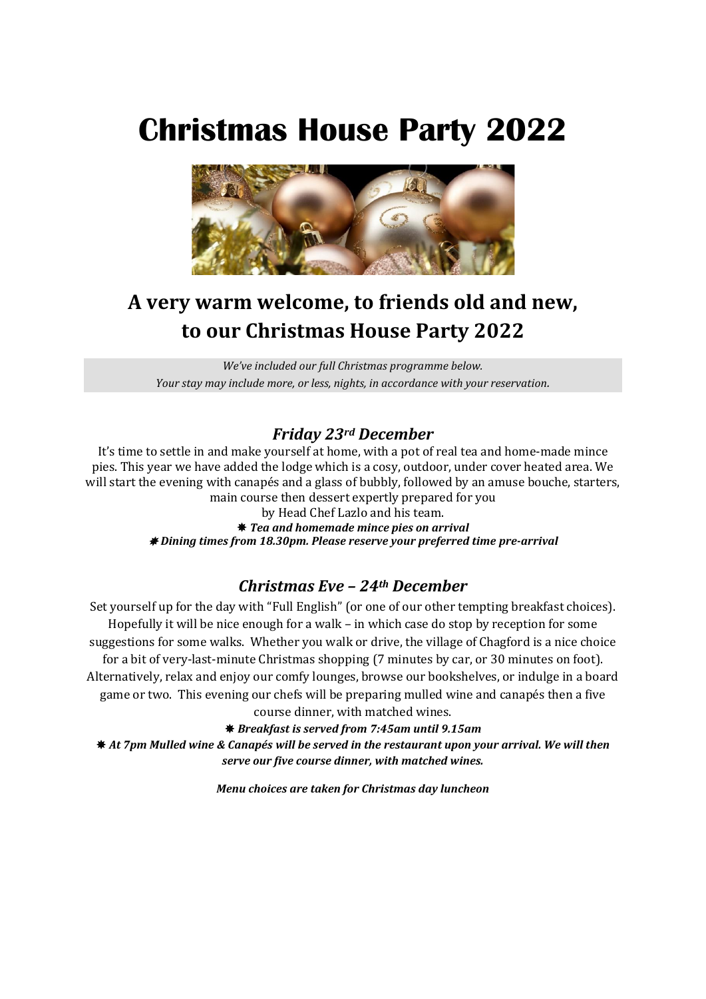# **Christmas House Party 2022**



# **A very warm welcome, to friends old and new, to our Christmas House Party 2022**

*We've included our full Christmas programme below. Your stay may include more, or less, nights, in accordance with your reservation.*

#### *Friday 23rd December*

It's time to settle in and make yourself at home, with a pot of real tea and home-made mince pies. This year we have added the lodge which is a cosy, outdoor, under cover heated area. We will start the evening with canapés and a glass of bubbly, followed by an amuse bouche, starters, main course then dessert expertly prepared for you

> by Head Chef Lazlo and his team. *Tea and homemade mince pies on arrival Dining times from 18.30pm. Please reserve your preferred time pre-arrival*

#### *Christmas Eve – 24th December*

Set yourself up for the day with "Full English" (or one of our other tempting breakfast choices). Hopefully it will be nice enough for a walk – in which case do stop by reception for some suggestions for some walks. Whether you walk or drive, the village of Chagford is a nice choice for a bit of very-last-minute Christmas shopping (7 minutes by car, or 30 minutes on foot). Alternatively, relax and enjoy our comfy lounges, browse our bookshelves, or indulge in a board game or two. This evening our chefs will be preparing mulled wine and canapés then a five course dinner, with matched wines.

*Breakfast is served from 7:45am until 9.15am*

 *At 7pm Mulled wine & Canapés will be served in the restaurant upon your arrival. We will then serve our five course dinner, with matched wines.*

*Menu choices are taken for Christmas day luncheon*